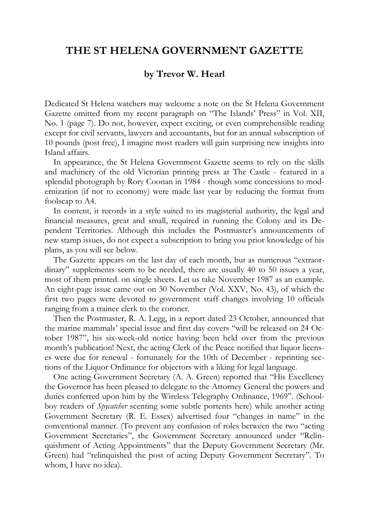## **THE ST HELENA GOVERNMENT GAZETTE**

## **by Trevor W. Hearl**

Dedicated St Helena watchers may welcome a note on the St Helena Government Gazette omitted from my recent paragraph on "The Islands' Press" in Vol. XII, No. 1 (page 7). Do not, however, expect exciting, or even comprehensible reading except for civil servants, lawyers and accountants, but for an annual subscription of 10 pounds (post free), I imagine most readers will gain surprising new insights into Island affairs.

In appearance, the St Helena Government Gazette seems to rely on the skills and machinery of the old Victorian printing press at The Castle - featured in a splendid photograph by Rory Coonan in 1984 - though some concessions to modernization (if not to economy) were made last year by reducing the format from foolscap to A4.

In content, it records in a style suited to its magisterial authority, the legal and financial measures, great and small, required in running the Colony and its Dependent Territories. Although this includes the Postmaster's announcements of new stamp issues, do not expect a subscription to bring you prior knowledge of his plans, as you will see below.

The Gazette appears on the last day of each month, but as numerous "extraordinary" supplements seem to be needed, there are usually 40 to 50 issues a year, most of them printed. on single sheets. Let us take November 1987 as an example. An eight-page issue came out on 30 November (Vol. XXV, No. 43), of which the first two pages were devoted to government staff changes involving 10 officials ranging from a trainee clerk to the coroner.

Then the Postmaster, R. A. Legg, in a report dated 23 October, announced that the marine mammals' special issue and first day covers "will be released on 24 October 1987", his six-week-old notice having been held over from the previous month's publication! Next, the acting Clerk of the Peace notified that liquor licenses were due for renewal - fortunately for the 10th of December - reprinting sections of the Liquor Ordinance for objectors with a liking for legal language.

One acting Government Secretary (A. A. Green) reported that "His Excellency the Governor has been pleased to delegate to the Attorney General the powers and duties conferred upon him by the Wireless Telegraphy Ordinance, 1969". (Schoolboy readers of *Spycatcher* scenting some subtle portents here) while another acting Government Secretary (R. E. Essex) advertised four "changes in name" in the conventional manner. (To prevent any confusion of roles between the two "acting Government Secretaries", the Government Secretary announced under "Relinquishment of Acting Appointments" that the Deputy Government Secretary (Mr. Green) had "relinquished the post of acting Deputy Government Secretary". To whom, I have no idea).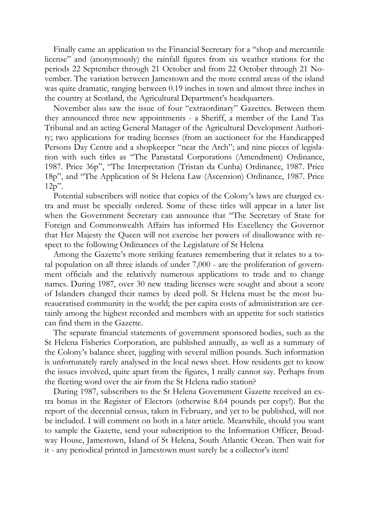Finally came an application to the Financial Secretary for a "shop and mercantile license" and (anonymously) the rainfall figures from six weather stations for the periods 22 September through 21 October and from 22 October through 21 November. The variation between Jamestown and the more central areas of the island was quite dramatic, ranging between 0.19 inches in town and almost three inches in the country at Scotland, the Agricultural Department's headquarters.

November also saw the issue of four "extraordinary" Gazettes. Between them they announced three new appointments - a Sheriff, a member of the Land Tax Tribunal and an acting General Manager of the Agricultural Development Authority; two applications for trading licenses (from an auctioneer for the Handicapped Persons Day Centre and a shopkeeper "near the Arch"; and nine pieces of legislation with such titles as "The Parastatal Corporations (Amendment) Ordinance, 1987. Price 36p", "The Interpretation (Tristan da Cunha) Ordinance, 1987. Price 18p", and "The Application of St Helena Law (Ascension) Ordinance, 1987. Price 12p".

Potential subscribers will notice that copies of the Colony's laws are charged extra and must be specially ordered. Some of these titles will appear in a later list when the Government Secretary can announce that "The Secretary of State for Foreign and Commonwealth Affairs has informed His Excellency the Governor that Her Majesty the Queen will not exercise her powers of disallowance with respect to the following Ordinances of the Legislature of St Helena

Among the Gazette's more striking features remembering that it relates to a total population on all three islands of under 7,000 - are the proliferation of government officials and the relatively numerous applications to trade and to change names. During 1987, over 30 new trading licenses were sought and about a score of Islanders changed their names by deed poll. St Helena must be the most bureaucratised community in the world; the per capita costs of administration are certainly among the highest recorded and members with an appetite for such statistics can find them in the Gazette.

The separate financial statements of government sponsored bodies, such as the St Helena Fisheries Corporation, are published annually, as well as a summary of the Colony's balance sheet, juggling with several million pounds. Such information is unfortunately rarely analysed in the local news sheet. How residents get to know the issues involved, quite apart from the figures, I really cannot say. Perhaps from the fleeting word over the air from the St Helena radio station?

During 1987, subscribers to the St Helena Government Gazette received an extra bonus in the Register of Electors (otherwise 8.64 pounds per copy!). But the report of the decennial census, taken in February, and yet to be published, will not be included. I will comment on both in a later article. Meanwhile, should you want to sample the Gazette, send your subscription to the Information Officer, Broadway House, Jamestown, Island of St Helena, South Atlantic Ocean. Then wait for it - any periodical printed in Jamestown must surely be a collector's item!